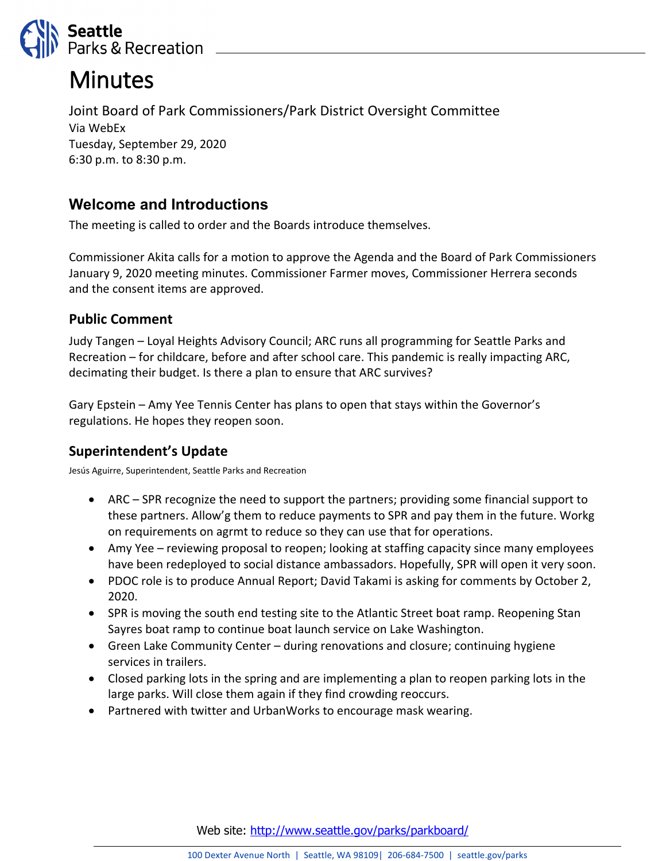

# **Minutes**

Joint Board of Park Commissioners/Park District Oversight Committee Via WebEx Tuesday, September 29, 2020 6:30 p.m. to 8:30 p.m.

## **Welcome and Introductions**

The meeting is called to order and the Boards introduce themselves.

Commissioner Akita calls for a motion to approve the Agenda and the Board of Park Commissioners January 9, 2020 meeting minutes. Commissioner Farmer moves, Commissioner Herrera seconds and the consent items are approved.

#### **Public Comment**

Judy Tangen – Loyal Heights Advisory Council; ARC runs all programming for Seattle Parks and Recreation – for childcare, before and after school care. This pandemic is really impacting ARC, decimating their budget. Is there a plan to ensure that ARC survives?

Gary Epstein – Amy Yee Tennis Center has plans to open that stays within the Governor's regulations. He hopes they reopen soon.

## **Superintendent's Update**

Jesús Aguirre, Superintendent, Seattle Parks and Recreation

- ARC SPR recognize the need to support the partners; providing some financial support to these partners. Allow'g them to reduce payments to SPR and pay them in the future. Workg on requirements on agrmt to reduce so they can use that for operations.
- Amy Yee reviewing proposal to reopen; looking at staffing capacity since many employees have been redeployed to social distance ambassadors. Hopefully, SPR will open it very soon.
- PDOC role is to produce Annual Report; David Takami is asking for comments by October 2, 2020.
- SPR is moving the south end testing site to the Atlantic Street boat ramp. Reopening Stan Sayres boat ramp to continue boat launch service on Lake Washington.
- Green Lake Community Center during renovations and closure; continuing hygiene services in trailers.
- Closed parking lots in the spring and are implementing a plan to reopen parking lots in the large parks. Will close them again if they find crowding reoccurs.
- Partnered with twitter and UrbanWorks to encourage mask wearing.

Web site: <http://www.seattle.gov/parks/parkboard/>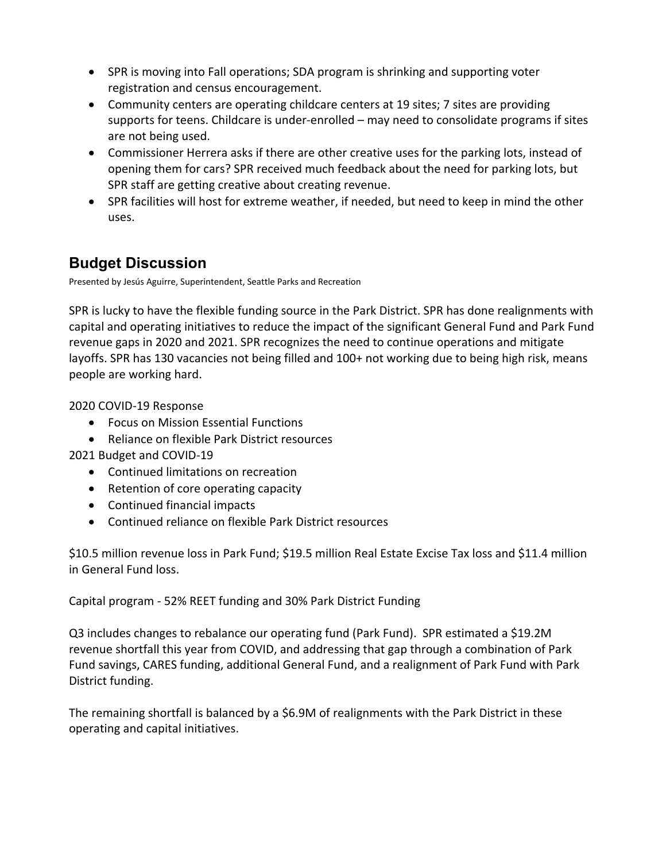- SPR is moving into Fall operations; SDA program is shrinking and supporting voter registration and census encouragement.
- Community centers are operating childcare centers at 19 sites; 7 sites are providing supports for teens. Childcare is under-enrolled – may need to consolidate programs if sites are not being used.
- Commissioner Herrera asks if there are other creative uses for the parking lots, instead of opening them for cars? SPR received much feedback about the need for parking lots, but SPR staff are getting creative about creating revenue.
- SPR facilities will host for extreme weather, if needed, but need to keep in mind the other uses.

# **Budget Discussion**

Presented by Jesús Aguirre, Superintendent, Seattle Parks and Recreation

SPR is lucky to have the flexible funding source in the Park District. SPR has done realignments with capital and operating initiatives to reduce the impact of the significant General Fund and Park Fund revenue gaps in 2020 and 2021. SPR recognizes the need to continue operations and mitigate layoffs. SPR has 130 vacancies not being filled and 100+ not working due to being high risk, means people are working hard.

2020 COVID-19 Response

- Focus on Mission Essential Functions
- Reliance on flexible Park District resources

2021 Budget and COVID-19

- Continued limitations on recreation
- Retention of core operating capacity
- Continued financial impacts
- Continued reliance on flexible Park District resources

\$10.5 million revenue loss in Park Fund; \$19.5 million Real Estate Excise Tax loss and \$11.4 million in General Fund loss.

Capital program - 52% REET funding and 30% Park District Funding

Q3 includes changes to rebalance our operating fund (Park Fund). SPR estimated a \$19.2M revenue shortfall this year from COVID, and addressing that gap through a combination of Park Fund savings, CARES funding, additional General Fund, and a realignment of Park Fund with Park District funding.

The remaining shortfall is balanced by a \$6.9M of realignments with the Park District in these operating and capital initiatives.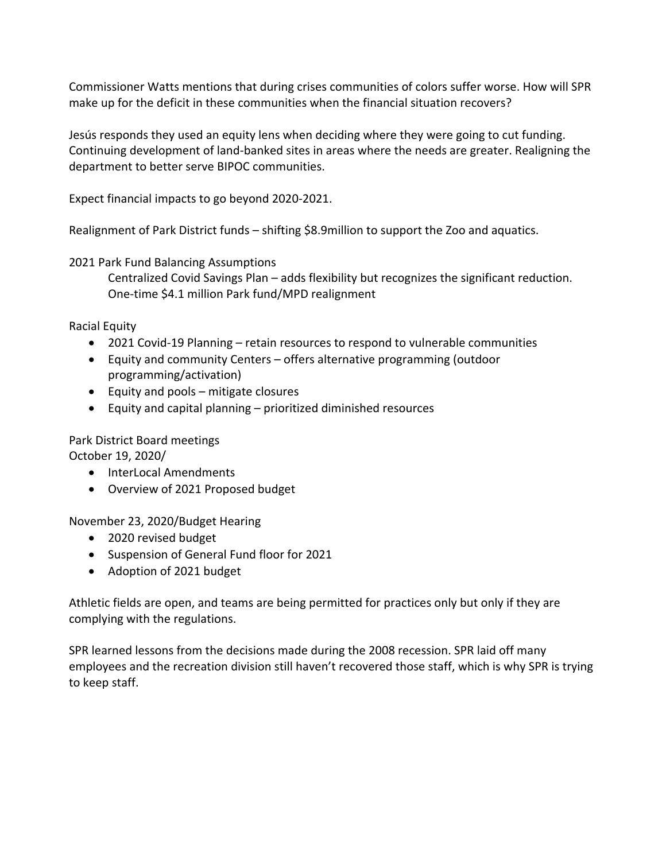Commissioner Watts mentions that during crises communities of colors suffer worse. How will SPR make up for the deficit in these communities when the financial situation recovers?

Jesús responds they used an equity lens when deciding where they were going to cut funding. Continuing development of land-banked sites in areas where the needs are greater. Realigning the department to better serve BIPOC communities.

Expect financial impacts to go beyond 2020-2021.

Realignment of Park District funds – shifting \$8.9million to support the Zoo and aquatics.

#### 2021 Park Fund Balancing Assumptions

Centralized Covid Savings Plan – adds flexibility but recognizes the significant reduction. One-time \$4.1 million Park fund/MPD realignment

Racial Equity

- 2021 Covid-19 Planning retain resources to respond to vulnerable communities
- Equity and community Centers offers alternative programming (outdoor programming/activation)
- Equity and pools mitigate closures
- Equity and capital planning prioritized diminished resources

#### Park District Board meetings

October 19, 2020/

- InterLocal Amendments
- Overview of 2021 Proposed budget

November 23, 2020/Budget Hearing

- 2020 revised budget
- Suspension of General Fund floor for 2021
- Adoption of 2021 budget

Athletic fields are open, and teams are being permitted for practices only but only if they are complying with the regulations.

SPR learned lessons from the decisions made during the 2008 recession. SPR laid off many employees and the recreation division still haven't recovered those staff, which is why SPR is trying to keep staff.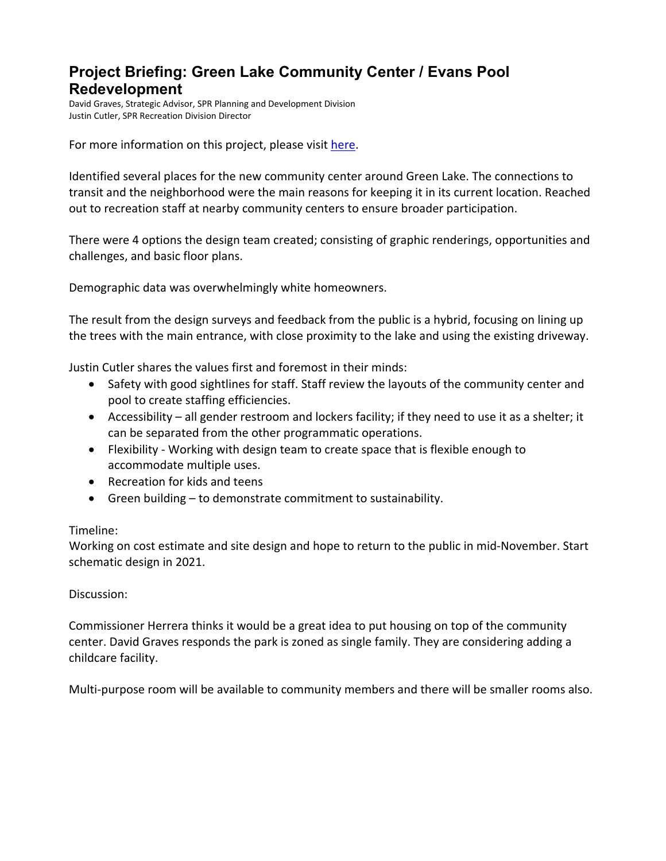## **Project Briefing: Green Lake Community Center / Evans Pool Redevelopment**

David Graves, Strategic Advisor, SPR Planning and Development Division Justin Cutler, SPR Recreation Division Director

For more information on this project, please visit [here.](http://www.seattle.gov/parks/about-us/current-projects/green-lake-community-center-projects)

Identified several places for the new community center around Green Lake. The connections to transit and the neighborhood were the main reasons for keeping it in its current location. Reached out to recreation staff at nearby community centers to ensure broader participation.

There were 4 options the design team created; consisting of graphic renderings, opportunities and challenges, and basic floor plans.

Demographic data was overwhelmingly white homeowners.

The result from the design surveys and feedback from the public is a hybrid, focusing on lining up the trees with the main entrance, with close proximity to the lake and using the existing driveway.

Justin Cutler shares the values first and foremost in their minds:

- Safety with good sightlines for staff. Staff review the layouts of the community center and pool to create staffing efficiencies.
- Accessibility all gender restroom and lockers facility; if they need to use it as a shelter; it can be separated from the other programmatic operations.
- Flexibility Working with design team to create space that is flexible enough to accommodate multiple uses.
- Recreation for kids and teens
- Green building to demonstrate commitment to sustainability.

#### Timeline:

Working on cost estimate and site design and hope to return to the public in mid-November. Start schematic design in 2021.

#### Discussion:

Commissioner Herrera thinks it would be a great idea to put housing on top of the community center. David Graves responds the park is zoned as single family. They are considering adding a childcare facility.

Multi-purpose room will be available to community members and there will be smaller rooms also.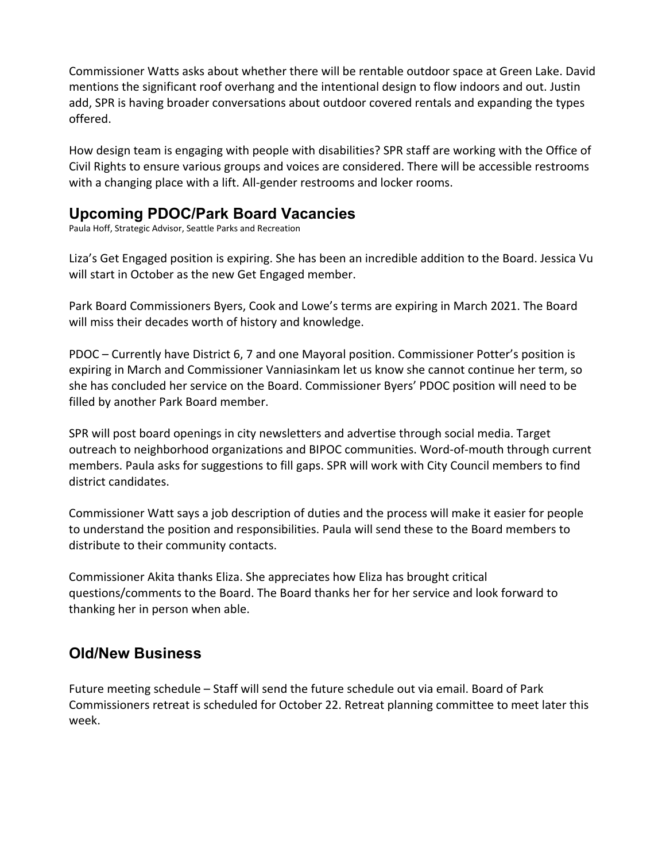Commissioner Watts asks about whether there will be rentable outdoor space at Green Lake. David mentions the significant roof overhang and the intentional design to flow indoors and out. Justin add, SPR is having broader conversations about outdoor covered rentals and expanding the types offered.

How design team is engaging with people with disabilities? SPR staff are working with the Office of Civil Rights to ensure various groups and voices are considered. There will be accessible restrooms with a changing place with a lift. All-gender restrooms and locker rooms.

## **Upcoming PDOC/Park Board Vacancies**

Paula Hoff, Strategic Advisor, Seattle Parks and Recreation

Liza's Get Engaged position is expiring. She has been an incredible addition to the Board. Jessica Vu will start in October as the new Get Engaged member.

Park Board Commissioners Byers, Cook and Lowe's terms are expiring in March 2021. The Board will miss their decades worth of history and knowledge.

PDOC – Currently have District 6, 7 and one Mayoral position. Commissioner Potter's position is expiring in March and Commissioner Vanniasinkam let us know she cannot continue her term, so she has concluded her service on the Board. Commissioner Byers' PDOC position will need to be filled by another Park Board member.

SPR will post board openings in city newsletters and advertise through social media. Target outreach to neighborhood organizations and BIPOC communities. Word-of-mouth through current members. Paula asks for suggestions to fill gaps. SPR will work with City Council members to find district candidates.

Commissioner Watt says a job description of duties and the process will make it easier for people to understand the position and responsibilities. Paula will send these to the Board members to distribute to their community contacts.

Commissioner Akita thanks Eliza. She appreciates how Eliza has brought critical questions/comments to the Board. The Board thanks her for her service and look forward to thanking her in person when able.

## **Old/New Business**

Future meeting schedule – Staff will send the future schedule out via email. Board of Park Commissioners retreat is scheduled for October 22. Retreat planning committee to meet later this week.